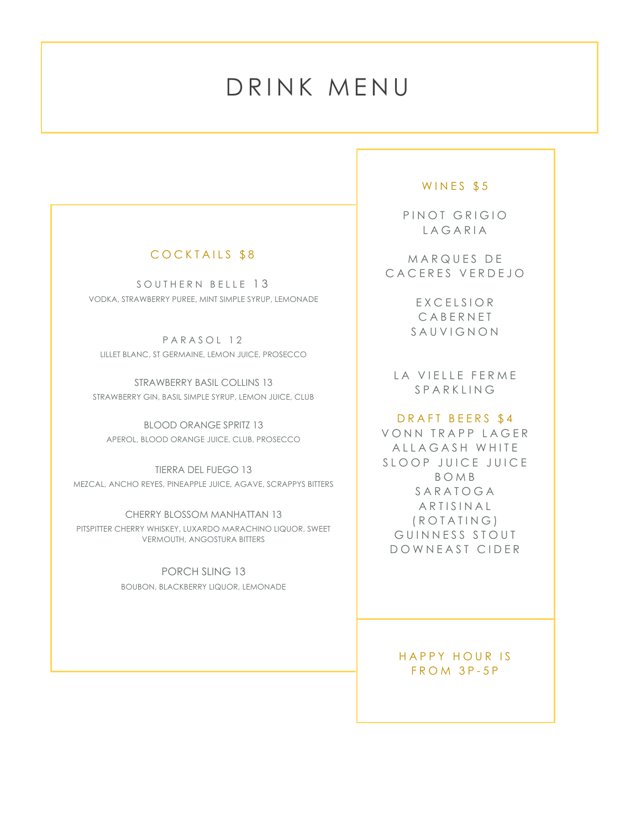# DRINK MENU

## COCKTAILS \$8

SKILLS<br>SKILLS

SOUTHERN BELLE 13 VODKA, STRAWBERRY PUREE, MINT SIMPLE SYRUP, LEMONADE

PARASOL 12 LILLET BLANC, ST GERMAINE, LEMON JUICE, PROSECCO

STRAWBERRY BASIL COLLINS 13 STRAWBERRY GIN, BASIL SIMPLE SYRUP, LEMON JUICE, CLUB

BLOOD ORANGE SPRITZ 13 APEROL, BLOOD ORANGE JUICE, CLUB, PROSECCO

TIERRA DEL FUEGO 13 MEZCAL, ANCHO REYES, PINEAPPLE JUICE, AGAVE, SCRAPPYS BITTERS

CHERRY BLOSSOM MANHATTAN 13 PITSPITTER CHERRY WHISKEY, LUXARDO MARACHINO LIQUOR, SWEET VERMOUTH, ANGOSTURA BITTERS

> PORCH SLING 13 BOUBON, BLACKBERRY LIQUOR, LEMONADE

## WINES \$5

PINOT GRIGIO LAGARIA

MARQUES DE CACERES VERDEJO

> EXCELSIOR CABERNET SAUVIGNON

LA VIELLE FERME SPARKLING

#### DRAFT BEERS \$4

VONN TRAPP LAGER ALLAGASH WHITE SLOOP JUICE JUICE BOMB SARATOGA ARTISINAL (ROTATING) GUINNESS STOUT DOWNEAST CIDER

## HAPPY HOUR IS FROM 3P-5P